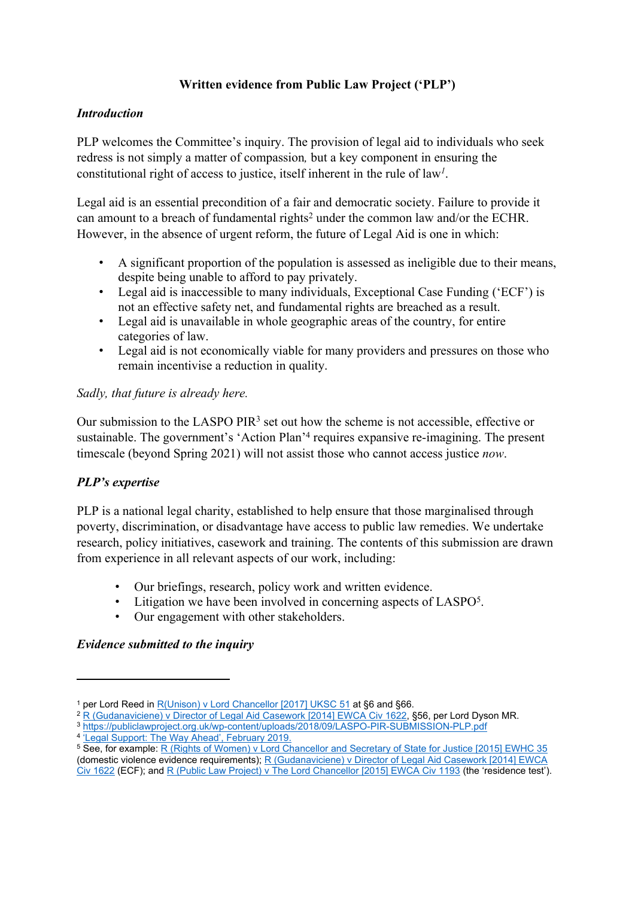# **Written evidence from Public Law Project ('PLP')**

### *Introduction*

PLP welcomes the Committee's inquiry. The provision of legal aid to individuals who seek redress is not simply a matter of compassion*,* but a key component in ensuring the constitutional right of access to justice, itself inherent in the rule of law*<sup>1</sup>* .

Legal aid is an essential precondition of a fair and democratic society. Failure to provide it can amount to a breach of fundamental rights<sup>2</sup> under the common law and/or the ECHR. However, in the absence of urgent reform, the future of Legal Aid is one in which:

- A significant proportion of the population is assessed as ineligible due to their means, despite being unable to afford to pay privately.
- Legal aid is inaccessible to many individuals, Exceptional Case Funding ('ECF') is not an effective safety net, and fundamental rights are breached as a result.
- Legal aid is unavailable in whole geographic areas of the country, for entire categories of law.
- Legal aid is not economically viable for many providers and pressures on those who remain incentivise a reduction in quality.

### *Sadly, that future is already here.*

Our submission to the LASPO PIR<sup>3</sup> set out how the scheme is not accessible, effective or sustainable. The government's 'Action Plan'<sup>4</sup> requires expansive re-imagining. The present timescale (beyond Spring 2021) will not assist those who cannot access justice *now*.

# *PLP's expertise*

PLP is a national legal charity, established to help ensure that those marginalised through poverty, discrimination, or disadvantage have access to public law remedies. We undertake research, policy initiatives, casework and training. The contents of this submission are drawn from experience in all relevant aspects of our work, including:

- Our briefings, research, policy work and written evidence.
- Litigation we have been involved in concerning aspects of LASPO<sup>5</sup>.
- Our engagement with other stakeholders.

# *Evidence submitted to the inquiry*

<sup>3</sup> <https://publiclawproject.org.uk/wp-content/uploads/2018/09/LASPO-PIR-SUBMISSION-PLP.pdf>

<sup>1</sup> per Lord Reed in [R\(Unison\)](https://www.bailii.org/uk/cases/UKSC/2017/51.html) [v](https://www.bailii.org/uk/cases/UKSC/2017/51.html) [Lord](https://www.bailii.org/uk/cases/UKSC/2017/51.html) [Chancellor](https://www.bailii.org/uk/cases/UKSC/2017/51.html) [\[2017\]](https://www.bailii.org/uk/cases/UKSC/2017/51.html) [UKSC](https://www.bailii.org/uk/cases/UKSC/2017/51.html) [51](https://www.bailii.org/uk/cases/UKSC/2017/51.html) at §6 and §66.

<sup>&</sup>lt;sup>2</sup> [R](https://www.judiciary.uk/wp-content/uploads/2014/12/gudanavicience-ors-v-dir-of-legal-aid.pdf) [\(Gudanaviciene\)](https://www.judiciary.uk/wp-content/uploads/2014/12/gudanavicience-ors-v-dir-of-legal-aid.pdf) [v](https://www.judiciary.uk/wp-content/uploads/2014/12/gudanavicience-ors-v-dir-of-legal-aid.pdf) [Director](https://www.judiciary.uk/wp-content/uploads/2014/12/gudanavicience-ors-v-dir-of-legal-aid.pdf) [of](https://www.judiciary.uk/wp-content/uploads/2014/12/gudanavicience-ors-v-dir-of-legal-aid.pdf) [Legal](https://www.judiciary.uk/wp-content/uploads/2014/12/gudanavicience-ors-v-dir-of-legal-aid.pdf) [Aid](https://www.judiciary.uk/wp-content/uploads/2014/12/gudanavicience-ors-v-dir-of-legal-aid.pdf) [Casework](https://www.judiciary.uk/wp-content/uploads/2014/12/gudanavicience-ors-v-dir-of-legal-aid.pdf) [\[2014\]](https://www.judiciary.uk/wp-content/uploads/2014/12/gudanavicience-ors-v-dir-of-legal-aid.pdf) [EWCA](https://www.judiciary.uk/wp-content/uploads/2014/12/gudanavicience-ors-v-dir-of-legal-aid.pdf) [Civ](https://www.judiciary.uk/wp-content/uploads/2014/12/gudanavicience-ors-v-dir-of-legal-aid.pdf) [1622](https://www.judiciary.uk/wp-content/uploads/2014/12/gudanavicience-ors-v-dir-of-legal-aid.pdf), §56, per Lord Dyson MR.

<sup>&</sup>lt;sup>4</sup> ['Legal](https://www.gov.uk/government/publications/legal-support-action-plan) [Support:](https://www.gov.uk/government/publications/legal-support-action-plan) [The](https://www.gov.uk/government/publications/legal-support-action-plan) [Way](https://www.gov.uk/government/publications/legal-support-action-plan) [Ahead',](https://www.gov.uk/government/publications/legal-support-action-plan) [February](https://www.gov.uk/government/publications/legal-support-action-plan) [2019.](https://www.gov.uk/government/publications/legal-support-action-plan)

<sup>5</sup> See, for example: [R](https://www.bailii.org/ew/cases/EWCA/Civ/2016/91.html) [\(Rights](https://www.bailii.org/ew/cases/EWCA/Civ/2016/91.html) [of](https://www.bailii.org/ew/cases/EWCA/Civ/2016/91.html) [Women\)](https://www.bailii.org/ew/cases/EWCA/Civ/2016/91.html) [v](https://www.bailii.org/ew/cases/EWCA/Civ/2016/91.html) [Lord](https://www.bailii.org/ew/cases/EWCA/Civ/2016/91.html) [Chancellor](https://www.bailii.org/ew/cases/EWCA/Civ/2016/91.html) [and](https://www.bailii.org/ew/cases/EWCA/Civ/2016/91.html) [Secretary](https://www.bailii.org/ew/cases/EWCA/Civ/2016/91.html) [of](https://www.bailii.org/ew/cases/EWCA/Civ/2016/91.html) [State](https://www.bailii.org/ew/cases/EWCA/Civ/2016/91.html) [for](https://www.bailii.org/ew/cases/EWCA/Civ/2016/91.html) [Justice](https://www.bailii.org/ew/cases/EWCA/Civ/2016/91.html) [\[2015\]](https://www.bailii.org/ew/cases/EWCA/Civ/2016/91.html) [EWHC](https://www.bailii.org/ew/cases/EWCA/Civ/2016/91.html) [35](https://www.bailii.org/ew/cases/EWCA/Civ/2016/91.html) (d[om](https://www.judiciary.uk/wp-content/uploads/2014/12/gudanavicience-ors-v-dir-of-legal-aid.pdf)estic violence evidence requirements); [R](https://www.judiciary.uk/wp-content/uploads/2014/12/gudanavicience-ors-v-dir-of-legal-aid.pdf) [\(Gudanaviciene\)](https://www.judiciary.uk/wp-content/uploads/2014/12/gudanavicience-ors-v-dir-of-legal-aid.pdf) [v](https://www.judiciary.uk/wp-content/uploads/2014/12/gudanavicience-ors-v-dir-of-legal-aid.pdf) [Director](https://www.judiciary.uk/wp-content/uploads/2014/12/gudanavicience-ors-v-dir-of-legal-aid.pdf) [of](https://www.judiciary.uk/wp-content/uploads/2014/12/gudanavicience-ors-v-dir-of-legal-aid.pdf) [Legal](https://www.judiciary.uk/wp-content/uploads/2014/12/gudanavicience-ors-v-dir-of-legal-aid.pdf) [Aid](https://www.judiciary.uk/wp-content/uploads/2014/12/gudanavicience-ors-v-dir-of-legal-aid.pdf) [Casework](https://www.judiciary.uk/wp-content/uploads/2014/12/gudanavicience-ors-v-dir-of-legal-aid.pdf) [\[2014\]](https://www.judiciary.uk/wp-content/uploads/2014/12/gudanavicience-ors-v-dir-of-legal-aid.pdf) [EWCA](https://www.judiciary.uk/wp-content/uploads/2014/12/gudanavicience-ors-v-dir-of-legal-aid.pdf) [Civ](https://www.judiciary.uk/wp-content/uploads/2014/12/gudanavicience-ors-v-dir-of-legal-aid.pdf) [1622](https://www.judiciary.uk/wp-content/uploads/2014/12/gudanavicience-ors-v-dir-of-legal-aid.pdf) (ECF); and [R](https://www.bailii.org/ew/cases/EWCA/Civ/2015/1193.html) [\(Public](https://www.bailii.org/ew/cases/EWCA/Civ/2015/1193.html) [Law](https://www.bailii.org/ew/cases/EWCA/Civ/2015/1193.html) [Project\)](https://www.bailii.org/ew/cases/EWCA/Civ/2015/1193.html) [v](https://www.bailii.org/ew/cases/EWCA/Civ/2015/1193.html) [The](https://www.bailii.org/ew/cases/EWCA/Civ/2015/1193.html) [Lord](https://www.bailii.org/ew/cases/EWCA/Civ/2015/1193.html) [Chancellor](https://www.bailii.org/ew/cases/EWCA/Civ/2015/1193.html) [\[2015\]](https://www.bailii.org/ew/cases/EWCA/Civ/2015/1193.html) [EWCA](https://www.bailii.org/ew/cases/EWCA/Civ/2015/1193.html) [Civ](https://www.bailii.org/ew/cases/EWCA/Civ/2015/1193.html) [1193](https://www.bailii.org/ew/cases/EWCA/Civ/2015/1193.html) (the 'residence test').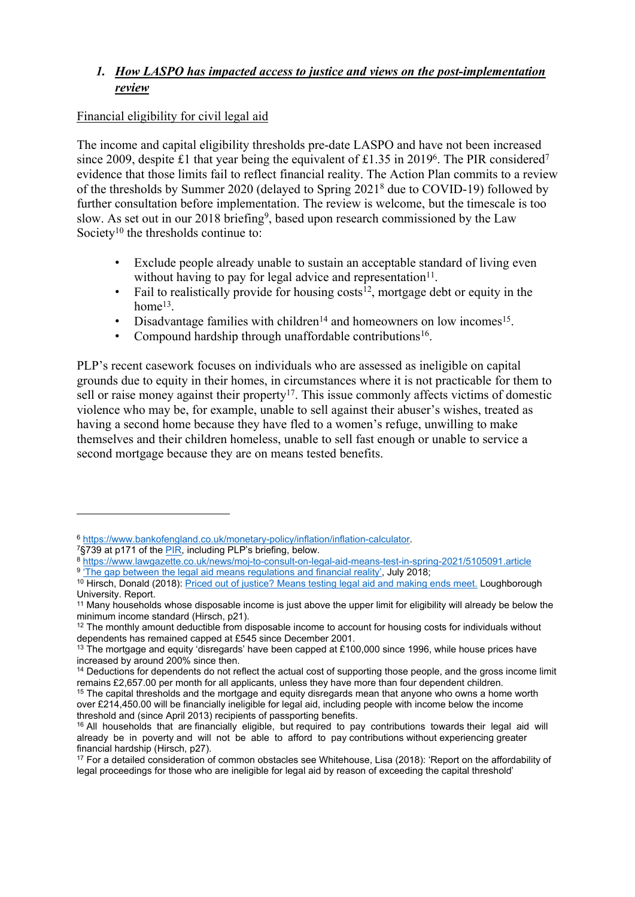# *1. How LASPO has impacted access to justice and views on the post-implementation review*

### Financial eligibility for civil legal aid

The income and capital eligibility thresholds pre-date LASPO and have not been increased since 2009, despite £1 that year being the equivalent of £1.35 in 2019<sup>6</sup>. The PIR considered<sup>7</sup> evidence that those limits fail to reflect financial reality. The Action Plan commits to a review of the thresholds by Summer 2020 (delayed to Spring 2021<sup>8</sup> due to COVID-19) followed by further consultation before implementation. The review is welcome, but the timescale is too slow. As set out in our 2018 briefing<sup>9</sup>, based upon research commissioned by the Law Society<sup>10</sup> the thresholds continue to:

- Exclude people already unable to sustain an acceptable standard of living even without having to pay for legal advice and representation $11$ .
- Fail to realistically provide for housing  $costs<sup>12</sup>$ , mortgage debt or equity in the home<sup>13</sup>.
- Disadvantage families with children<sup>14</sup> and homeowners on low incomes<sup>15</sup>.
- Compound hardship through unaffordable contributions<sup>16</sup>.

PLP's recent casework focuses on individuals who are assessed as ineligible on capital grounds due to equity in their homes, in circumstances where it is not practicable for them to sell or raise money against their property<sup>17</sup>. This issue commonly affects victims of domestic violence who may be, for example, unable to sell against their abuser's wishes, treated as having a second home because they have fled to a women's refuge, unwilling to make themselves and their children homeless, unable to sell fast enough or unable to service a second mortgage because they are on means tested benefits.

<sup>6</sup> <https://www.bankofengland.co.uk/monetary-policy/inflation/inflation-calculator>.

<sup>7</sup>§739 at p171 of the [PIR](https://assets.publishing.service.gov.uk/government/uploads/system/uploads/attachment_data/file/777038/post-implementation-review-of-part-1-of-laspo.pdf), including PLP's briefing, below.

<sup>8</sup> <https://www.lawgazette.co.uk/news/moj-to-consult-on-legal-aid-means-test-in-spring-2021/5105091.article>

<sup>&</sup>lt;sup>9</sup> ['The](https://publiclawproject.org.uk/wp-content/uploads/2018/07/Means_threshold_for_web.pdf) [gap](https://publiclawproject.org.uk/wp-content/uploads/2018/07/Means_threshold_for_web.pdf) [between](https://publiclawproject.org.uk/wp-content/uploads/2018/07/Means_threshold_for_web.pdf) [the](https://publiclawproject.org.uk/wp-content/uploads/2018/07/Means_threshold_for_web.pdf) [legal](https://publiclawproject.org.uk/wp-content/uploads/2018/07/Means_threshold_for_web.pdf) [aid](https://publiclawproject.org.uk/wp-content/uploads/2018/07/Means_threshold_for_web.pdf) [means](https://publiclawproject.org.uk/wp-content/uploads/2018/07/Means_threshold_for_web.pdf) [regulations](https://publiclawproject.org.uk/wp-content/uploads/2018/07/Means_threshold_for_web.pdf) [and](https://publiclawproject.org.uk/wp-content/uploads/2018/07/Means_threshold_for_web.pdf) [financial](https://publiclawproject.org.uk/wp-content/uploads/2018/07/Means_threshold_for_web.pdf) [reality'](https://publiclawproject.org.uk/wp-content/uploads/2018/07/Means_threshold_for_web.pdf), July 201[8;](https://hdl.handle.net/2134/37111)

<sup>&</sup>lt;sup>10</sup> Hirsch, Donald (2018): [Priced](https://hdl.handle.net/2134/37111) [out](https://hdl.handle.net/2134/37111) [of](https://hdl.handle.net/2134/37111) [justice?](https://hdl.handle.net/2134/37111) [Means](https://hdl.handle.net/2134/37111) [testing](https://hdl.handle.net/2134/37111) [legal](https://hdl.handle.net/2134/37111) [aid](https://hdl.handle.net/2134/37111) [and](https://hdl.handle.net/2134/37111) [making](https://hdl.handle.net/2134/37111) [ends](https://hdl.handle.net/2134/37111) [meet.](https://hdl.handle.net/2134/37111) Loughborough University. Report.

<sup>11</sup> Many households whose disposable income is just above the upper limit for eligibility will already be below the minimum income standard (Hirsch, p21).

<sup>&</sup>lt;sup>12</sup> The monthly amount deductible from disposable income to account for housing costs for individuals without dependents has remained capped at £545 since December 2001.

<sup>&</sup>lt;sup>13</sup> The mortgage and equity 'disregards' have been capped at £100,000 since 1996, while house prices have increased by around 200% since then.

<sup>&</sup>lt;sup>14</sup> Deductions for dependents do not reflect the actual cost of supporting those people, and the gross income limit remains £2,657.00 per month for all applicants, unless they have more than four dependent children.

<sup>&</sup>lt;sup>15</sup> The capital thresholds and the mortgage and equity disregards mean that anyone who owns a home worth over £214,450.00 will be financially ineligible for legal aid, including people with income below the income threshold and (since April 2013) recipients of passporting benefits.

<sup>&</sup>lt;sup>16</sup> All households that are financially eligible, but required to pay contributions towards their legal aid will already be in poverty and will not be able to afford to pay contributions without experiencing greater financial hardship (Hirsch, p27).

<sup>17</sup> For a detailed consideration of common obstacles see Whitehouse, Lisa (2018): 'Report on the affordability of legal proceedings for those who are ineligible for legal aid by reason of exceeding the capital threshold'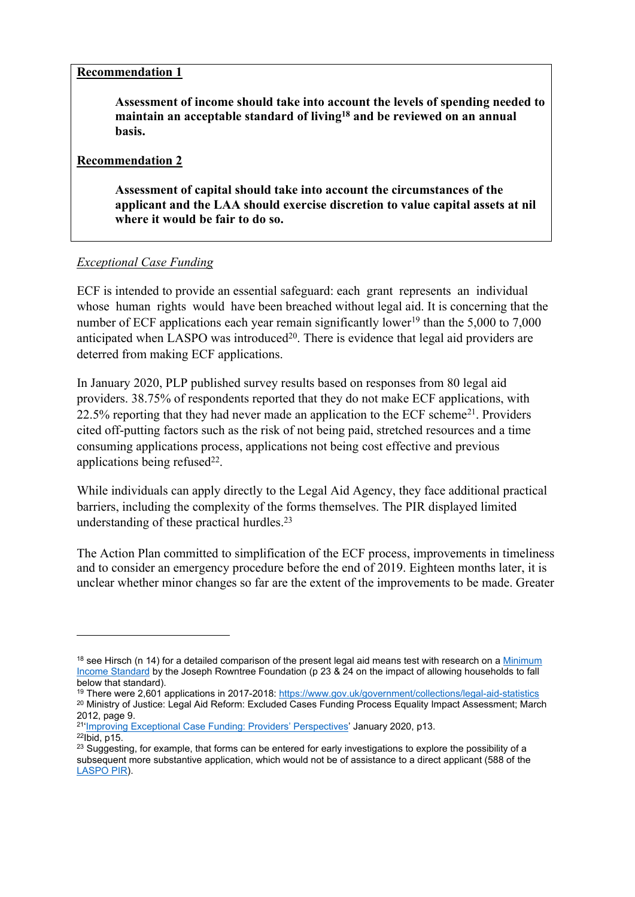#### **Recommendation 1**

**Assessment of income should take into account the levels of spending needed to maintain an acceptable standard of living<sup>18</sup> and be reviewed on an annual basis.**

#### **Recommendation 2**

**Assessment of capital should take into account the circumstances of the applicant and the LAA should exercise discretion to value capital assets at nil where it would be fair to do so.**

### *Exceptional Case Funding*

ECF is intended to provide an essential safeguard: each grant represents an individual whose human rights would have been breached without legal aid. It is concerning that the number of ECF applications each year remain significantly lower<sup>19</sup> than the 5,000 to 7,000 anticipated when LASPO was introduced $2<sup>0</sup>$ . There is evidence that legal aid providers are deterred from making ECF applications.

In January 2020, PLP published survey results based on responses from 80 legal aid providers. 38.75% of respondents reported that they do not make ECF applications, with 22.5% reporting that they had never made an application to the ECF scheme<sup>21</sup>. Providers cited off-putting factors such as the risk of not being paid, stretched resources and a time consuming applications process, applications not being cost effective and previous applications being refused $22$ .

While individuals can apply directly to the Legal Aid Agency, they face additional practical barriers, including the complexity of the forms themselves. The PIR displayed limited understanding of these practical hurdles. $23$ 

The Action Plan committed to simplification of the ECF process, improvements in timeliness and to consider an emergency procedure before the end of 2019. Eighteen months later, it is unclear whether minor changes so far are the extent of the improvements to be made. Greater

<sup>&</sup>lt;sup>18</sup> see Hirsch (n 14) for a detailed comparison of the present legal aid means test with research on a [Minimum](https://www.jrf.org.uk/income-benefits/minimum-income-standards) [Income](https://www.jrf.org.uk/income-benefits/minimum-income-standards) [Standard](https://www.jrf.org.uk/income-benefits/minimum-income-standards) by the Joseph Rowntree Foundation (p 23 & 24 on the impact of allowing households to fall below that standard).

<sup>19</sup> There were 2,601 applications in 2017-2018: <https://www.gov.uk/government/collections/legal-aid-statistics> <sup>20</sup> Ministry of Justice: Legal Aid Reform: Excluded Cases Funding Process Equality Impact Assessment; March 2012, page 9.

<sup>&</sup>lt;sup>21</sup>'[Improving](https://publiclawproject.org.uk/wp-content/uploads/2020/01/Improving-Exceptional-Case-Funding-Website-Publication-Version-docx.docx.pdf) [Exceptional](https://publiclawproject.org.uk/wp-content/uploads/2020/01/Improving-Exceptional-Case-Funding-Website-Publication-Version-docx.docx.pdf) [Case](https://publiclawproject.org.uk/wp-content/uploads/2020/01/Improving-Exceptional-Case-Funding-Website-Publication-Version-docx.docx.pdf) [Funding:](https://publiclawproject.org.uk/wp-content/uploads/2020/01/Improving-Exceptional-Case-Funding-Website-Publication-Version-docx.docx.pdf) [Providers'](https://publiclawproject.org.uk/wp-content/uploads/2020/01/Improving-Exceptional-Case-Funding-Website-Publication-Version-docx.docx.pdf) [Perspectives'](https://publiclawproject.org.uk/wp-content/uploads/2020/01/Improving-Exceptional-Case-Funding-Website-Publication-Version-docx.docx.pdf) January 2020, p13.  $22$ lbid, p15.

<sup>&</sup>lt;sup>23</sup> Suggesting, for example, that forms can be entered for early investigations to explore the possibility of a subsequent more substantive application, which would not be of assistance to a direct applicant (588 of the [LASPO](https://assets.publishing.service.gov.uk/government/uploads/system/uploads/attachment_data/file/777038/post-implementation-review-of-part-1-of-laspo.pdf) [PIR\)](https://assets.publishing.service.gov.uk/government/uploads/system/uploads/attachment_data/file/777038/post-implementation-review-of-part-1-of-laspo.pdf).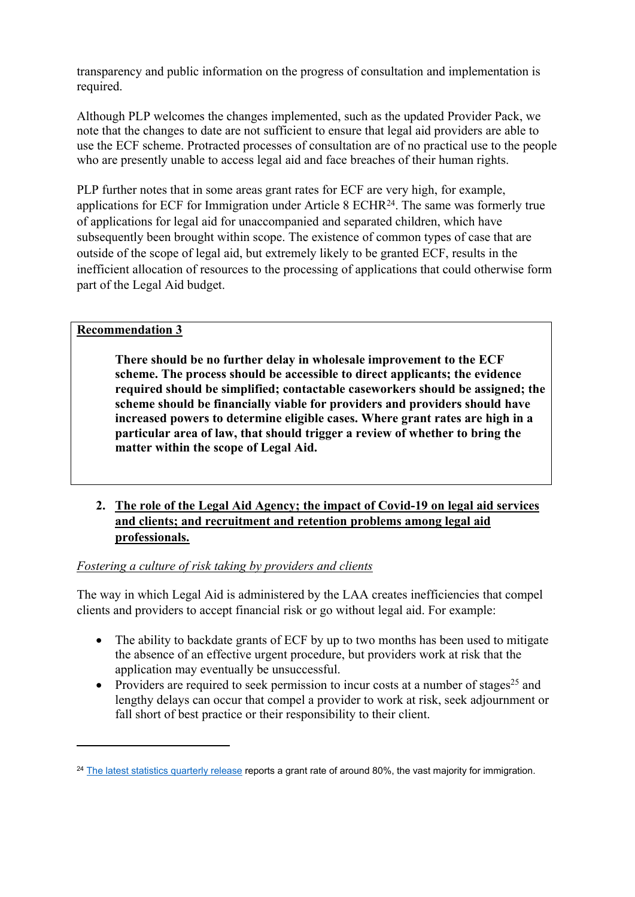transparency and public information on the progress of consultation and implementation is required.

Although PLP welcomes the changes implemented, such as the updated Provider Pack, we note that the changes to date are not sufficient to ensure that legal aid providers are able to use the ECF scheme. Protracted processes of consultation are of no practical use to the people who are presently unable to access legal aid and face breaches of their human rights.

PLP further notes that in some areas grant rates for ECF are very high, for example, applications for ECF for Immigration under Article 8 ECHR<sup>24</sup>. The same was formerly true of applications for legal aid for unaccompanied and separated children, which have subsequently been brought within scope. The existence of common types of case that are outside of the scope of legal aid, but extremely likely to be granted ECF, results in the inefficient allocation of resources to the processing of applications that could otherwise form part of the Legal Aid budget.

# **Recommendation 3**

**There should be no further delay in wholesale improvement to the ECF scheme. The process should be accessible to direct applicants; the evidence required should be simplified; contactable caseworkers should be assigned; the scheme should be financially viable for providers and providers should have increased powers to determine eligible cases. Where grant rates are high in a particular area of law, that should trigger a review of whether to bring the matter within the scope of Legal Aid.**

# **2. The role of the Legal Aid Agency; the impact of Covid-19 on legal aid services and clients; and recruitment and retention problems among legal aid professionals.**

*Fostering a culture of risk taking by providers and clients*

The way in which Legal Aid is administered by the LAA creates inefficiencies that compel clients and providers to accept financial risk or go without legal aid. For example:

- The ability to backdate grants of ECF by up to two months has been used to mitigate the absence of an effective urgent procedure, but providers work at risk that the application may eventually be unsuccessful.
- Providers are required to seek permission to incur costs at a number of stages<sup>25</sup> and lengthy delays can occur that compel a provider to work at risk, seek adjournment or fall short of best practice or their responsibility to their client.

<sup>&</sup>lt;sup>24</sup> [The](https://www.gov.uk/government/publications/legal-aid-statistics-quarterly-april-to-june-2020/legal-aid-statistics-england-and-wales-bulletin-april-to-june-2020#civil-legal-aid) [latest](https://www.gov.uk/government/publications/legal-aid-statistics-quarterly-april-to-june-2020/legal-aid-statistics-england-and-wales-bulletin-april-to-june-2020#civil-legal-aid) [statistics](https://www.gov.uk/government/publications/legal-aid-statistics-quarterly-april-to-june-2020/legal-aid-statistics-england-and-wales-bulletin-april-to-june-2020#civil-legal-aid) [quarterly](https://www.gov.uk/government/publications/legal-aid-statistics-quarterly-april-to-june-2020/legal-aid-statistics-england-and-wales-bulletin-april-to-june-2020#civil-legal-aid) [release](https://www.gov.uk/government/publications/legal-aid-statistics-quarterly-april-to-june-2020/legal-aid-statistics-england-and-wales-bulletin-april-to-june-2020#civil-legal-aid) reports a grant rate of around 80%, the vast majority for immigration.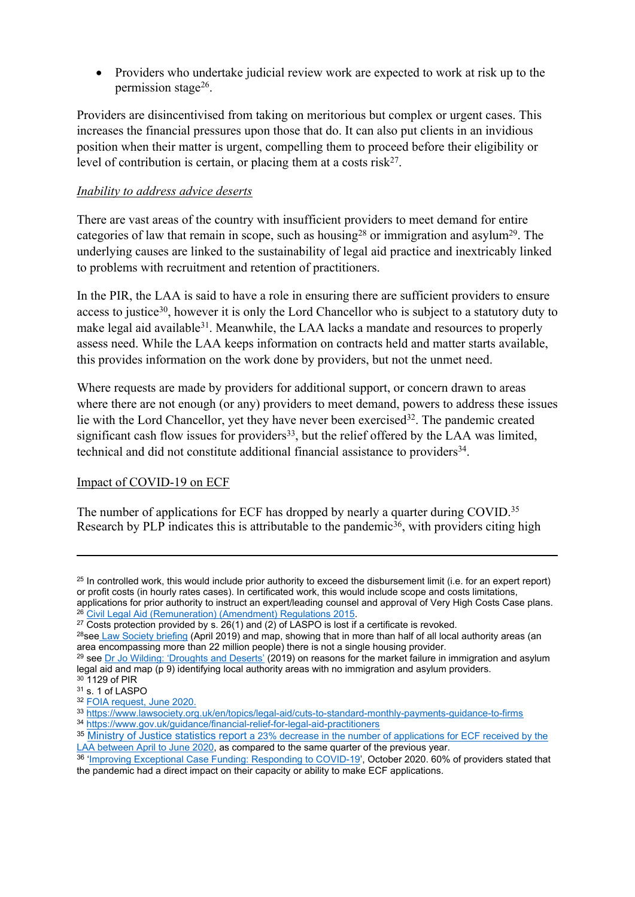Providers who undertake judicial review work are expected to work at risk up to the permission stage<sup>26</sup>.

Providers are disincentivised from taking on meritorious but complex or urgent cases. This increases the financial pressures upon those that do. It can also put clients in an invidious position when their matter is urgent, compelling them to proceed before their eligibility or level of contribution is certain, or placing them at a costs risk<sup>27</sup>.

### *Inability to address advice deserts*

There are vast areas of the country with insufficient providers to meet demand for entire categories of law that remain in scope, such as housing<sup>28</sup> or immigration and asylum<sup>29</sup>. The underlying causes are linked to the sustainability of legal aid practice and inextricably linked to problems with recruitment and retention of practitioners.

In the PIR, the LAA is said to have a role in ensuring there are sufficient providers to ensure access to justice<sup>30</sup>, however it is only the Lord Chancellor who is subject to a statutory duty to make legal aid available<sup>31</sup>. Meanwhile, the LAA lacks a mandate and resources to properly assess need. While the LAA keeps information on contracts held and matter starts available, this provides information on the work done by providers, but not the unmet need.

Where requests are made by providers for additional support, or concern drawn to areas where there are not enough (or any) providers to meet demand, powers to address these issues lie with the Lord Chancellor, yet they have never been exercised<sup>32</sup>. The pandemic created significant cash flow issues for providers<sup>33</sup>, but the relief offered by the LAA was limited, technical and did not constitute additional financial assistance to providers<sup>34</sup>.

### Impact of COVID-19 on ECF

The number of applications for ECF has dropped by nearly a quarter during COVID.<sup>35</sup> Research by PLP indicates this is attributable to the pandemic<sup>36</sup>, with providers citing high

<sup>&</sup>lt;sup>25</sup> In controlled work, this would include prior authority to exceed the disbursement limit (i.e. for an expert report) or profit costs (in hourly rates cases). In certificated work, this would include scope and costs limitations, applications for prior authority to instruct an expert/leading counsel and approval of Very High Costs Case plans.

<sup>26</sup> [Civil](https://www.legislation.gov.uk/uksi/2015/898/contents/made) [Legal](https://www.legislation.gov.uk/uksi/2015/898/contents/made) [Aid](https://www.legislation.gov.uk/uksi/2015/898/contents/made) [\(Remuneration\)](https://www.legislation.gov.uk/uksi/2015/898/contents/made) [\(Amendment\)](https://www.legislation.gov.uk/uksi/2015/898/contents/made) [Regulations](https://www.legislation.gov.uk/uksi/2015/898/contents/made) [2015.](https://www.legislation.gov.uk/uksi/2015/898/contents/made)

 $27$  Costs protection provided by s. 26(1) and (2) of LASPO is lost if a certificate is revoked.

<sup>&</sup>lt;sup>28</sup>see [Law](https://www.lawsociety.org.uk/en/topics/legal-aid/legal-aid-deserts) [Society](https://www.lawsociety.org.uk/en/topics/legal-aid/legal-aid-deserts) [briefing](https://www.lawsociety.org.uk/en/topics/legal-aid/legal-aid-deserts) (April 2019) and map, showing that in more than half of all local authority areas (an area enc[o](http://www.jowilding.org/assets/files/Droughts%20and%20Deserts%20final%20report.pdf)m[p](http://www.jowilding.org/assets/files/Droughts%20and%20Deserts%20final%20report.pdf)assing more than 22 [m](http://www.jowilding.org/assets/files/Droughts%20and%20Deserts%20final%20report.pdf)illion people) there is not a single housing provider.

<sup>&</sup>lt;sup>29</sup> see [Dr](http://www.jowilding.org/assets/files/Droughts%20and%20Deserts%20final%20report.pdf) [Jo](http://www.jowilding.org/assets/files/Droughts%20and%20Deserts%20final%20report.pdf) [Wilding:](http://www.jowilding.org/assets/files/Droughts%20and%20Deserts%20final%20report.pdf) ['Droughts](http://www.jowilding.org/assets/files/Droughts%20and%20Deserts%20final%20report.pdf) [and](http://www.jowilding.org/assets/files/Droughts%20and%20Deserts%20final%20report.pdf) [Deserts'](http://www.jowilding.org/assets/files/Droughts%20and%20Deserts%20final%20report.pdf) (2019) on reasons for the market failure in immigration and asylum legal aid and map (p 9) identifying local authority areas with no immigration and asylum providers. <sup>30</sup> 1129 of PIR

<sup>31</sup> s. 1 of LASPO

<sup>32</sup> [FOIA](https://www.whatdotheyknow.com/request/666418/response/1589225/attach/html/5/200521015%20Rosenberg.pdf.html) [request,](https://www.whatdotheyknow.com/request/666418/response/1589225/attach/html/5/200521015%20Rosenberg.pdf.html) [June](https://www.whatdotheyknow.com/request/666418/response/1589225/attach/html/5/200521015%20Rosenberg.pdf.html) [2020.](https://www.whatdotheyknow.com/request/666418/response/1589225/attach/html/5/200521015%20Rosenberg.pdf.html)

<sup>33</sup> <https://www.lawsociety.org.uk/en/topics/legal-aid/cuts-to-standard-monthly-payments-guidance-to-firms>

<sup>34</sup> <https://www.gov.uk/guidance/financial-relief-for-legal-aid-practitioners>

<sup>35</sup> [Ministry](https://www.gov.uk/government/publications/legal-aid-statistics-quarterly-april-to-june-2020/legal-aid-statistics-england-and-wales-bulletin-april-to-june-2020) [of](https://www.gov.uk/government/publications/legal-aid-statistics-quarterly-april-to-june-2020/legal-aid-statistics-england-and-wales-bulletin-april-to-june-2020) [Justice](https://www.gov.uk/government/publications/legal-aid-statistics-quarterly-april-to-june-2020/legal-aid-statistics-england-and-wales-bulletin-april-to-june-2020) [statistics](https://www.gov.uk/government/publications/legal-aid-statistics-quarterly-april-to-june-2020/legal-aid-statistics-england-and-wales-bulletin-april-to-june-2020) [report](https://www.gov.uk/government/publications/legal-aid-statistics-quarterly-april-to-june-2020/legal-aid-statistics-england-and-wales-bulletin-april-to-june-2020) [a](https://www.gov.uk/government/publications/legal-aid-statistics-quarterly-april-to-june-2020/legal-aid-statistics-england-and-wales-bulletin-april-to-june-2020) [23%](https://www.gov.uk/government/publications/legal-aid-statistics-quarterly-april-to-june-2020/legal-aid-statistics-england-and-wales-bulletin-april-to-june-2020) [decrease](https://www.gov.uk/government/publications/legal-aid-statistics-quarterly-april-to-june-2020/legal-aid-statistics-england-and-wales-bulletin-april-to-june-2020) [in](https://www.gov.uk/government/publications/legal-aid-statistics-quarterly-april-to-june-2020/legal-aid-statistics-england-and-wales-bulletin-april-to-june-2020) [the](https://www.gov.uk/government/publications/legal-aid-statistics-quarterly-april-to-june-2020/legal-aid-statistics-england-and-wales-bulletin-april-to-june-2020) [number](https://www.gov.uk/government/publications/legal-aid-statistics-quarterly-april-to-june-2020/legal-aid-statistics-england-and-wales-bulletin-april-to-june-2020) [of](https://www.gov.uk/government/publications/legal-aid-statistics-quarterly-april-to-june-2020/legal-aid-statistics-england-and-wales-bulletin-april-to-june-2020) [applications](https://www.gov.uk/government/publications/legal-aid-statistics-quarterly-april-to-june-2020/legal-aid-statistics-england-and-wales-bulletin-april-to-june-2020) [for](https://www.gov.uk/government/publications/legal-aid-statistics-quarterly-april-to-june-2020/legal-aid-statistics-england-and-wales-bulletin-april-to-june-2020) [ECF](https://www.gov.uk/government/publications/legal-aid-statistics-quarterly-april-to-june-2020/legal-aid-statistics-england-and-wales-bulletin-april-to-june-2020) [received](https://www.gov.uk/government/publications/legal-aid-statistics-quarterly-april-to-june-2020/legal-aid-statistics-england-and-wales-bulletin-april-to-june-2020) [by](https://www.gov.uk/government/publications/legal-aid-statistics-quarterly-april-to-june-2020/legal-aid-statistics-england-and-wales-bulletin-april-to-june-2020) [the](https://www.gov.uk/government/publications/legal-aid-statistics-quarterly-april-to-june-2020/legal-aid-statistics-england-and-wales-bulletin-april-to-june-2020) [LAA](https://www.gov.uk/government/publications/legal-aid-statistics-quarterly-april-to-june-2020/legal-aid-statistics-england-and-wales-bulletin-april-to-june-2020) [between](https://www.gov.uk/government/publications/legal-aid-statistics-quarterly-april-to-june-2020/legal-aid-statistics-england-and-wales-bulletin-april-to-june-2020) [April](https://www.gov.uk/government/publications/legal-aid-statistics-quarterly-april-to-june-2020/legal-aid-statistics-england-and-wales-bulletin-april-to-june-2020) [to](https://www.gov.uk/government/publications/legal-aid-statistics-quarterly-april-to-june-2020/legal-aid-statistics-england-and-wales-bulletin-april-to-june-2020) [June](https://www.gov.uk/government/publications/legal-aid-statistics-quarterly-april-to-june-2020/legal-aid-statistics-england-and-wales-bulletin-april-to-june-2020) [2020,](https://www.gov.uk/government/publications/legal-aid-statistics-quarterly-april-to-june-2020/legal-aid-statistics-england-and-wales-bulletin-april-to-june-2020) as compared to the same quarter of the previous year.

<sup>&</sup>lt;sup>36</sup> '[Improving](https://publiclawproject.org.uk/wp-content/uploads/2020/10/201001-FInal-Improving-Exceptional-Case-Funding-1.pdf) [Exceptional](https://publiclawproject.org.uk/wp-content/uploads/2020/10/201001-FInal-Improving-Exceptional-Case-Funding-1.pdf) [Case](https://publiclawproject.org.uk/wp-content/uploads/2020/10/201001-FInal-Improving-Exceptional-Case-Funding-1.pdf) [Funding:](https://publiclawproject.org.uk/wp-content/uploads/2020/10/201001-FInal-Improving-Exceptional-Case-Funding-1.pdf) [Responding](https://publiclawproject.org.uk/wp-content/uploads/2020/10/201001-FInal-Improving-Exceptional-Case-Funding-1.pdf) [to](https://publiclawproject.org.uk/wp-content/uploads/2020/10/201001-FInal-Improving-Exceptional-Case-Funding-1.pdf) [COVID-19'](https://publiclawproject.org.uk/wp-content/uploads/2020/10/201001-FInal-Improving-Exceptional-Case-Funding-1.pdf), October 2020. 60% of providers stated that the pandemic had a direct impact on their capacity or ability to make ECF applications.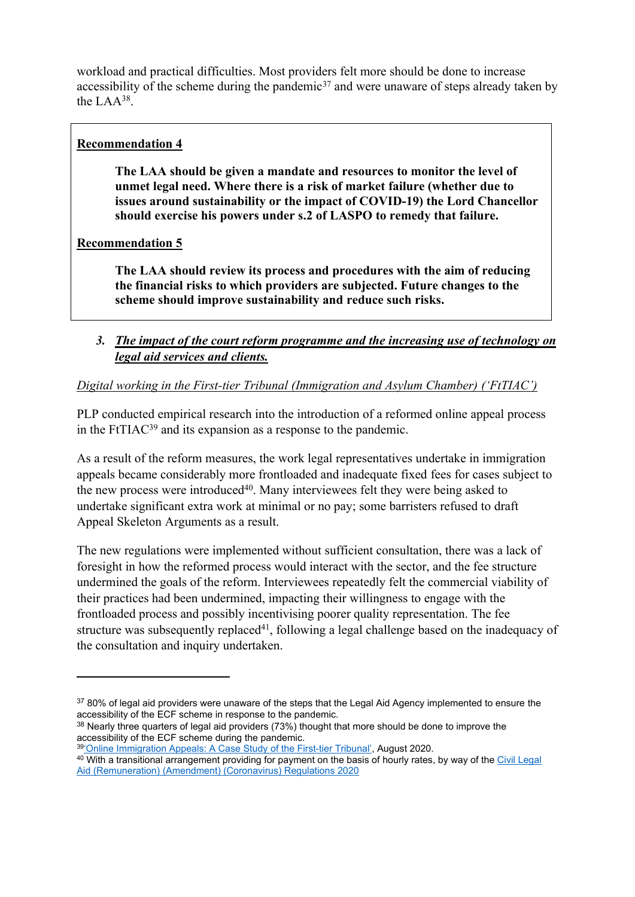workload and practical difficulties. Most providers felt more should be done to increase accessibility of the scheme during the pandemic<sup>37</sup> and were unaware of steps already taken by the LAA<sup>38</sup> .

### **Recommendation 4**

**The LAA should be given a mandate and resources to monitor the level of unmet legal need. Where there is a risk of market failure (whether due to issues around sustainability or the impact of COVID-19) the Lord Chancellor should exercise his powers under s.2 of LASPO to remedy that failure.**

**Recommendation 5**

**The LAA should review its process and procedures with the aim of reducing the financial risks to which providers are subjected. Future changes to the scheme should improve sustainability and reduce such risks.**

*3. The impact of the court reform programme and the increasing use of technology on legal aid services and clients.*

### *Digital working in the First-tier Tribunal (Immigration and Asylum Chamber) ('FtTIAC')*

PLP conducted empirical research into the introduction of a reformed online appeal process in the FtTIAC<sup>39</sup> and its expansion as a response to the pandemic.

As a result of the reform measures, the work legal representatives undertake in immigration appeals became considerably more frontloaded and inadequate fixed fees for cases subject to the new process were introduced<sup>40</sup>. Many interviewees felt they were being asked to undertake significant extra work at minimal or no pay; some barristers refused to draft Appeal Skeleton Arguments as a result.

The new regulations were implemented without sufficient consultation, there was a lack of foresight in how the reformed process would interact with the sector, and the fee structure undermined the goals of the reform. Interviewees repeatedly felt the commercial viability of their practices had been undermined, impacting their willingness to engage with the frontloaded process and possibly incentivising poorer quality representation. The fee structure was subsequently replaced<sup>41</sup>, following a legal challenge based on the inadequacy of the consultation and inquiry undertaken.

<sup>37 80%</sup> of legal aid providers were unaware of the steps that the Legal Aid Agency implemented to ensure the accessibility of the ECF scheme in response to the pandemic.

<sup>&</sup>lt;sup>38</sup> Nearly three quarters of legal aid providers (73%) thought that more should be done to improve the accessibility of the ECF scheme during the pandemic.

<sup>39&</sup>lt;sup>'</sup>Online [Immigration](https://publiclawproject.org.uk/wp-content/uploads/2020/08/200825_Online-Immigration-Appeals_FINAL.pdf) [Appeals:](https://publiclawproject.org.uk/wp-content/uploads/2020/08/200825_Online-Immigration-Appeals_FINAL.pdf) [A](https://publiclawproject.org.uk/wp-content/uploads/2020/08/200825_Online-Immigration-Appeals_FINAL.pdf) [Case](https://publiclawproject.org.uk/wp-content/uploads/2020/08/200825_Online-Immigration-Appeals_FINAL.pdf) [Study](https://publiclawproject.org.uk/wp-content/uploads/2020/08/200825_Online-Immigration-Appeals_FINAL.pdf) [of](https://publiclawproject.org.uk/wp-content/uploads/2020/08/200825_Online-Immigration-Appeals_FINAL.pdf) [the](https://publiclawproject.org.uk/wp-content/uploads/2020/08/200825_Online-Immigration-Appeals_FINAL.pdf) [First-tier](https://publiclawproject.org.uk/wp-content/uploads/2020/08/200825_Online-Immigration-Appeals_FINAL.pdf) [Tribunal',](https://publiclawproject.org.uk/wp-content/uploads/2020/08/200825_Online-Immigration-Appeals_FINAL.pdf) August 2020.

<sup>40</sup> With a transitional arrangement providing for payment on the ba[s](https://www.google.com/url?sa=t&rct=j&q=&esrc=s&source=web&cd=&cad=rja&uact=8&ved=2ahUKEwjExv-Pj7XsAhWkUhUIHW3pBEIQFjAAegQIAxAC&url=https%3A%2F%2Fwww.legislation.gov.uk%2Fuksi%2F2020%2F515%2Fcontents%2Fmade&usg=AOvVaw1qRaZWr60tBZWXytgupGI6)is of hourly rates, by way of the [Civil](https://www.google.com/url?sa=t&rct=j&q=&esrc=s&source=web&cd=&cad=rja&uact=8&ved=2ahUKEwjExv-Pj7XsAhWkUhUIHW3pBEIQFjAAegQIAxAC&url=https%3A%2F%2Fwww.legislation.gov.uk%2Fuksi%2F2020%2F515%2Fcontents%2Fmade&usg=AOvVaw1qRaZWr60tBZWXytgupGI6) [Legal](https://www.google.com/url?sa=t&rct=j&q=&esrc=s&source=web&cd=&cad=rja&uact=8&ved=2ahUKEwjExv-Pj7XsAhWkUhUIHW3pBEIQFjAAegQIAxAC&url=https%3A%2F%2Fwww.legislation.gov.uk%2Fuksi%2F2020%2F515%2Fcontents%2Fmade&usg=AOvVaw1qRaZWr60tBZWXytgupGI6) [Aid](https://www.google.com/url?sa=t&rct=j&q=&esrc=s&source=web&cd=&cad=rja&uact=8&ved=2ahUKEwjExv-Pj7XsAhWkUhUIHW3pBEIQFjAAegQIAxAC&url=https%3A%2F%2Fwww.legislation.gov.uk%2Fuksi%2F2020%2F515%2Fcontents%2Fmade&usg=AOvVaw1qRaZWr60tBZWXytgupGI6) [\(Remuneration\)](https://www.google.com/url?sa=t&rct=j&q=&esrc=s&source=web&cd=&cad=rja&uact=8&ved=2ahUKEwjExv-Pj7XsAhWkUhUIHW3pBEIQFjAAegQIAxAC&url=https%3A%2F%2Fwww.legislation.gov.uk%2Fuksi%2F2020%2F515%2Fcontents%2Fmade&usg=AOvVaw1qRaZWr60tBZWXytgupGI6) [\(Amendment\)](https://www.google.com/url?sa=t&rct=j&q=&esrc=s&source=web&cd=&cad=rja&uact=8&ved=2ahUKEwjExv-Pj7XsAhWkUhUIHW3pBEIQFjAAegQIAxAC&url=https%3A%2F%2Fwww.legislation.gov.uk%2Fuksi%2F2020%2F515%2Fcontents%2Fmade&usg=AOvVaw1qRaZWr60tBZWXytgupGI6) [\(Coronavirus\)](https://www.google.com/url?sa=t&rct=j&q=&esrc=s&source=web&cd=&cad=rja&uact=8&ved=2ahUKEwjExv-Pj7XsAhWkUhUIHW3pBEIQFjAAegQIAxAC&url=https%3A%2F%2Fwww.legislation.gov.uk%2Fuksi%2F2020%2F515%2Fcontents%2Fmade&usg=AOvVaw1qRaZWr60tBZWXytgupGI6) [Regulations](https://www.google.com/url?sa=t&rct=j&q=&esrc=s&source=web&cd=&cad=rja&uact=8&ved=2ahUKEwjExv-Pj7XsAhWkUhUIHW3pBEIQFjAAegQIAxAC&url=https%3A%2F%2Fwww.legislation.gov.uk%2Fuksi%2F2020%2F515%2Fcontents%2Fmade&usg=AOvVaw1qRaZWr60tBZWXytgupGI6) [2020](https://www.google.com/url?sa=t&rct=j&q=&esrc=s&source=web&cd=&cad=rja&uact=8&ved=2ahUKEwjExv-Pj7XsAhWkUhUIHW3pBEIQFjAAegQIAxAC&url=https%3A%2F%2Fwww.legislation.gov.uk%2Fuksi%2F2020%2F515%2Fcontents%2Fmade&usg=AOvVaw1qRaZWr60tBZWXytgupGI6)